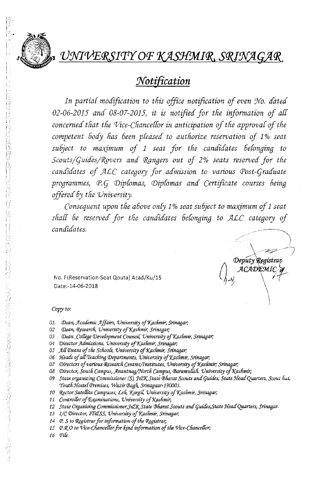

# UNIVERSITY OF KASHMIR, SRINAGAR

# *1Voti{ication*  **•**

*In partial modification to this office notification of even !No, dated 02-06-2015 and 08-07-2015) it is notified for the information of all concerned tfiat the 'Vice-Chancellor in anticipation of the approval of tfie competent 60dy fias been pleased to autliorize reservation of* 1 % *seat subject to maximum of* 1 *seat for the candidates 6e{onging to Scouts/quides/1?gvcrs ana Cj(angers out of* 2% *seats reserved for tlie candidates of \_fILC category for admission to various Post-Graduate programmes) P. q Diplomas, Diplomas and Certificate courses 6eing offered 6y the 'University.* 

*Consequent upon tfie above on(y* 1 % *seat su6ject to maximum of* 1 *seat sliall be reserved for the candidates 6e{onging to \_fILC category of candidates.* 

Deputy Registran ACADEMIC

No. F(Reservation-Seat Qouta) Acad/Ku/15 Date:-14-06-2018

#### *Copy to:*

- 01. Dean, Academic Affairs, University of Kashmir, Srinagar;
- 02 Dean, Research, University of Kashmir, Srinagar;
- 03 Dean , College Development Council, University of Kashmir, Srinagar;
- 04 *Director Admissions, University of Kashmir, Srinagar;*
- 05 All Deans of the Schools, University of Kashmir, Srinagar;
- 06 Heads of all Teaching Departments, University of Kashmir, Srinagar;
- 07 Directors of various Research Centres/Institutes, University of Kashmir; Srinagar;
- 08 Director, South Campus, Anantnag/North Campus, Baramullah. University of Kashmir;
- 09 State organizing Commissioner (S), *J&K* State Bharat Scouts and Guides, State Head Quarters, Scoul hut, Youth Hostel Premises, Wazir Bagh, Srinagaar-190001.
- 10 Rector Satellite Campuses, Leh, Kargil, University of Kashmir, Srinagar;
- 11 Controller of Examinations, University of Kashmir;
- 12 State Organising Commissioner,JcJK State Bharat Scouts and Guides,State Head Quarters, Srinagar.
- 13 *I/C Director, IT&SS, University of Kashmir, Srinagar*;
- *14 P. S to Registrar for information of the Registrar;*
- 15 P.R.O to Vice-Chancellor for kind information of the Vice-Chancellor,
- *16 PiCe,*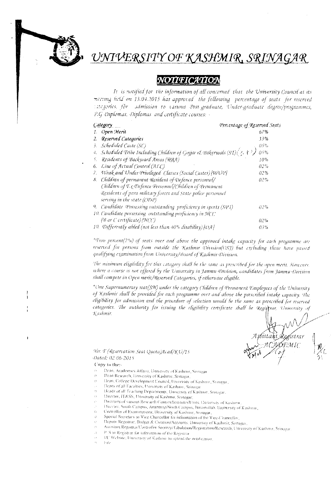

# UNIVERSITY OF KASHMIR, SRINAGAR

## **NOTIFICATION**

It is notified for the information of all concerned that the University Council at its meeting held on 13.04.2015 has approved the following percentage of seats for reserved ategories, for admission to various Post-graduate, Under-graduate degree/programmes, P.G. Diplomas. Diplomas and certificate courses: -

| Category                                                                      | Percentage of Reserved Seats |
|-------------------------------------------------------------------------------|------------------------------|
| Open Merit                                                                    | 07%                          |
| Reserved Categories<br>2.                                                     | 33%                          |
| Scheduled Caste (SC)<br>ž.                                                    | 05%                          |
| Scheduled Tribe Including Children of Gojjar & Bakerwals (ST) $(3, +2)$<br>4. | $0.5\%$                      |
| Residents of Backward Areas (RBA)<br>Ÿ.                                       | 10%                          |
| Line of Actual Control (ALC)<br>6.                                            | 02%                          |
| Weak and Under Privileged Classes (Social Castes) [WUP]<br>7.                 | 02%                          |
| Children of permanent Resident of Defence personnel/<br>8.                    | $02\%$                       |
| Children of Ex-Defence Personnel/Children of Permanent                        |                              |
| Residents of para military forces and State police personnel                  |                              |
| serving in the state ((NNP)                                                   |                              |
| Candidate Possessing outstanding proficiency in sports (SQU)<br>9.            | 02%                          |
| 10. Candidate possessing outstanding proficiency in NCC                       |                              |
| ( <sup>Q</sup> B or <i>C</i> certificate) (NCC)                               | 02%                          |
| 10. Differently abled (not less than 40% disability) [DA]                     | 03%                          |

"Two percent(2%) of seats over and above the approved intake capacity for each programme are reserved for persons from outside the Kashmir Division(OSJ) but excluding those have passed qualifying examination from University/Board of Kashmir Division.

The minimum eligibility for this category shall be the same as prescribed for the open merit. However, where a course is not offered by the University in Jammu Division, candidates from Jammu Division shall compete in Open merit/Reserved Categories, if otherwise eligible.

\*One Supernumerary seat(SN) under the category Cludren of Permanent Employees of the University of Kashmir shall be provided for each programme over and above the prescribed intake capacity. The eligibility for admission and the procedure of selection would be the same as prescribed for reserved categories. The authority for issuing the eligibility certificate shall be Registrar, University of Kashmir.

ístra) ISEMIC

*No: F* (Reservation Seat Quota)Acad/KU/15 Dated: 02-06-2015

#### Copy to the:-

- Dean, Academies Affans, University of Kashmir, Stroagar ŻÝ.
- Dean Research, University of Kashmir, Srinagar, ò
- Dean, College Development Council, University of Kashmir, Srinagar, Ŵ
- Deans of all Faculties; University of Kashmu, Srinagar
- Heads of all Teaching Departments, University of Kashmir, Srinigar, żý.
- Director, IT&SS, University of Kashmu, Scinagar, š)
- Directors of various Research Centres/Institutes/Units, University of Kashmi, V.
- Director, South Campus, Ananmag/North Campus, Baramullah, University of Kashmir, žs.
- Controller of Examinations, University of Kashmir, Srinagar,
- Special Secretary to Vice-Chancellor for information of the Vice-Chancellor, Ó k)
- Deputy Registrar, Budget & Creation/Accounts, University of Kashmir, Stinagar,  $\mathcal{O}$
- Assistant Registrar/Controller Secrecy/Tabulation/Registration/Research, University of Kashmir, Srinagar  $\mathcal{L}$ 
	- P. S to Registrar for information of the Registrar
- $\bar{\Omega}$ I/C Website, University of Kashmir to opload the notification,

 $\|\cdot\|_{\mathcal{K}}$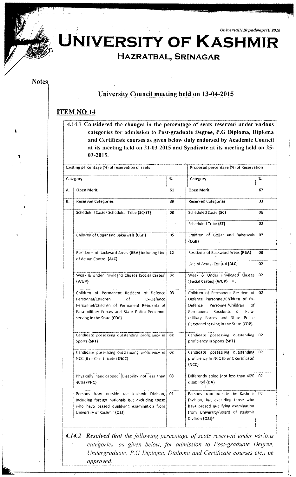Universal/110 pads/april/ 2015



JNIVERSITY OF KASHMIR

# HAZRATBAL, SRINAGAR

### **Notes**

## **University Council meeting held on 13-04-2015**

## **ITEM NO 14**

4.14.1 Considered the changes in the percentage of seats reserved under various categories for admission to Post-graduate Degree, P.G Diploma, Diploma and Certificate courses as given below duly endorsed by Academic Council at its meeting held on 21-03-2015 and Syndicate at its meeting held on 25-03-2015.

| Existing percentage (%) of reservation of seats |                                                                                                                                                                                                                      | Proposed percentage (%) of Reservation |                                                                                                                                                                                                                              |                 |
|-------------------------------------------------|----------------------------------------------------------------------------------------------------------------------------------------------------------------------------------------------------------------------|----------------------------------------|------------------------------------------------------------------------------------------------------------------------------------------------------------------------------------------------------------------------------|-----------------|
|                                                 | Category                                                                                                                                                                                                             | ℅                                      | Category                                                                                                                                                                                                                     | %               |
| Α.                                              | Open Merit                                                                                                                                                                                                           | 61                                     | <b>Open Merit</b>                                                                                                                                                                                                            | 67              |
| В.                                              | <b>Reserved Categories</b>                                                                                                                                                                                           | 39                                     | <b>Reserved Categories</b>                                                                                                                                                                                                   | 33              |
|                                                 | Scheduled Caste/ Scheduled Tribe {SC/ST}                                                                                                                                                                             | 08                                     | Scheduled Caste (SC)                                                                                                                                                                                                         | 06              |
|                                                 |                                                                                                                                                                                                                      |                                        | Scheduled Tribe (ST)                                                                                                                                                                                                         | 02              |
|                                                 | Children of Gojjar and Bakerwals {CGB}                                                                                                                                                                               | 05                                     | Children of Gojjar and Bakerwals<br>${CGB}$                                                                                                                                                                                  | 03              |
|                                                 | Residents of Backward Areas {RBA} including Line<br>of Actual Control {ALC}                                                                                                                                          | 12                                     | Residents of Backward Areas (RBA)                                                                                                                                                                                            | 08              |
|                                                 |                                                                                                                                                                                                                      |                                        | Line of Actual Control {ALC}                                                                                                                                                                                                 | 02              |
|                                                 | Weak & Under Privileged Classes [Social Castes]<br>$\{WUP\}$                                                                                                                                                         | 02                                     | Weak & Under Privileged Classes<br>[Social Castes] {WUP} *,                                                                                                                                                                  | 02              |
|                                                 | Children of Permanent Resident of Defence<br>Personnel/Children<br>οf<br>Ex-Defence<br>Personnel/Children of Permanent Residents of<br>Para-military Forces and State Police Personnel<br>serving in the State {CDP} | 03                                     | Children of Permanent Resident of<br>Defence Personnel/Children of Ex-<br>Defence<br>Personnel/Children<br>of<br>Residents of Para-<br>Permanent<br>military Forces and State Police<br>Personnel serving in the State (CDP) | 02              |
|                                                 | Candidate possessing outstanding proficiency in<br>Sports (SPT)                                                                                                                                                      | 02                                     | Candidate possessing outstanding<br>proficiency in Sports (SPT)                                                                                                                                                              | 02 <sub>2</sub> |
|                                                 | Candidate possessing outstanding proficiency in<br>NCC (B or C certificate) {NCC}                                                                                                                                    | 02                                     | Candidate possessing outstanding<br>proficiency in NCC (B or C certificate)<br>${NCC}$                                                                                                                                       | 02              |
|                                                 | Physically handicapped [Disability not less than<br>$40\%$ {PHC}                                                                                                                                                     | 03                                     | Differently abled [not less than 40%<br>disability] {DA}                                                                                                                                                                     | 02              |
|                                                 | Persons from outside the Kashmir Division,<br>including foreign nationals but excluding those<br>who have passed qualifying examination from<br>University of Kashmir (OSJ)                                          | 02                                     | Persons from outside the Kashmir<br>Division, but excluding those who<br>have passed qualifying examination<br>from University/Board of Kashmir<br>Division {OSJ}*                                                           | 02              |

4.14.2 Resolved that the following percentage of seats reserved under various categories, as given below, for admission to Post-graduate Degree. Undergraduate, P.G Diploma, Diploma and Certificate courses etc., be approved.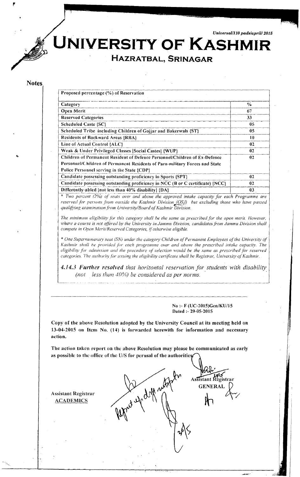**UNIVERSITY OF KASHMIR** 

# **HAZRATBAL, SRINAGAR**

#### Notes

| Proposed percentage (%) of Reservation                                         |               |
|--------------------------------------------------------------------------------|---------------|
| Category                                                                       | $\frac{6}{9}$ |
| Open Merit                                                                     | 67            |
| <b>Reserved Categories</b>                                                     | 33            |
| <b>Scheduled Caste {SC}</b>                                                    | 05            |
| Scheduled Tribe including Children of Gojjar and Bakerwals [ST]                | 05            |
| <b>Residents of Backward Areas {RBA}</b>                                       | 10            |
| Line of Actual Control {ALC}                                                   | 02            |
| Weak & Under Privileged Classes   Social Castes  {WUP}                         | 02            |
| Children of Permanent Resident of Defence Personnel/Children of Ex-Defence     | 02            |
| Personnel/Children of Permanent Residents of Para-military Forces and State    |               |
| Police Personnel serving in the State {CDP}                                    |               |
| Candidate possessing outstanding proficiency in Sports (SPT)                   | 02            |
| Candidate possessing outstanding proficiency in NCC (B or C certificate) {NCC} | 02            |
| Differently-abled [not less than 40% disability] {DA}                          | 03            |

over and above the approved intake capacity for each Programme are  $\frac{1}{2}$ *i*crearing the Kashmir Division *(OSA) but excluding those who have passed reserved for perssed 'niversity/Board ofKashmir Division. qualifying examinauonfrom L; \* Two percent* (2%) *ofseuts* 

*is category shall he the same as prescribedfor the open merit. However, The minimum eligibility \_/(}I' th where a course is not offered by the University in Jammu Division, candidates from Jammu Division shall ed Categories, ifotherwise eligible. compete in Open Merit/Reserv* 

 $^*$  One Supernumerary seat (SN) under the category Children of Permanent Employees of the University of  $\vert$ Kashmir shall be provided for each programme over and above the prescribed intake capacity. The *the procedure o]' selection would he the same (IS prescribed for reserved eligibilityfor admission and 'suing the eligibility certificate shall be Registrar, University ofKashmir. categories. 'the authorityfor 1.1* 

**4.14.3 Further resolved** that horizontal reservation for students with disability *(not less than 40%) be considered as per norms.* 

.... - . \_\_\_ .. - . \_\_ ---------\_-\_,----- ----"\_----- .. \_.\_-----\_--\_.\_ -. \_\_ --\_-....,.-

#### No :- F (UC-201S)Gcn/KU/lS Dated :- 29-05-2015

*..• Ji/::.iiu)·--* 

Copy of the above Resolution adopted by the University Council at its meeting held on 13-04-2015 on Item No. (14) is forwarded herewith for information and necessary action.

The action taken report on the above Resolution may please be communicated as early as possible to the office of the U/S for perusal of the authorities

Assistant Registrar **ACADEMICS** 

-------- ----

, And you ding noted ~ *. PI'''-* Assistant Registrar **GENERAL**  $\mathcal{L}$